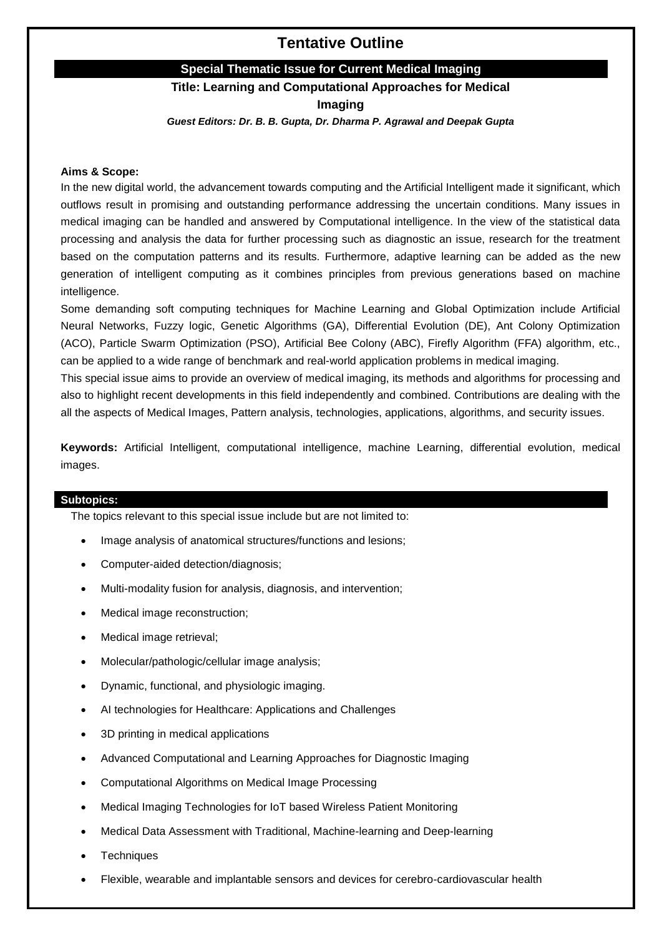# **Tentative Outline**

## **Special Thematic Issue for Current Medical Imaging**

## **Title: Learning and Computational Approaches for Medical**

**Imaging**

*Guest Editors: Dr. B. B. Gupta, Dr. Dharma P. Agrawal and Deepak Gupta* 

#### **Aims & Scope:**

In the new digital world, the advancement towards computing and the Artificial Intelligent made it significant, which outflows result in promising and outstanding performance addressing the uncertain conditions. Many issues in medical imaging can be handled and answered by Computational intelligence. In the view of the statistical data processing and analysis the data for further processing such as diagnostic an issue, research for the treatment based on the computation patterns and its results. Furthermore, adaptive learning can be added as the new generation of intelligent computing as it combines principles from previous generations based on machine intelligence.

Some demanding soft computing techniques for Machine Learning and Global Optimization include Artificial Neural Networks, Fuzzy logic, Genetic Algorithms (GA), Differential Evolution (DE), Ant Colony Optimization (ACO), Particle Swarm Optimization (PSO), Artificial Bee Colony (ABC), Firefly Algorithm (FFA) algorithm, etc., can be applied to a wide range of benchmark and real-world application problems in medical imaging.

This special issue aims to provide an overview of medical imaging, its methods and algorithms for processing and also to highlight recent developments in this field independently and combined. Contributions are dealing with the all the aspects of Medical Images, Pattern analysis, technologies, applications, algorithms, and security issues.

**Keywords:** Artificial Intelligent, computational intelligence, machine Learning, differential evolution, medical images.

## **Subtopics:**

The topics relevant to this special issue include but are not limited to:

- Image analysis of anatomical structures/functions and lesions;
- Computer-aided detection/diagnosis;
- Multi-modality fusion for analysis, diagnosis, and intervention;
- Medical image reconstruction;
- Medical image retrieval;
- Molecular/pathologic/cellular image analysis;
- Dynamic, functional, and physiologic imaging.
- AI technologies for Healthcare: Applications and Challenges
- 3D printing in medical applications
- Advanced Computational and Learning Approaches for Diagnostic Imaging
- Computational Algorithms on Medical Image Processing
- Medical Imaging Technologies for IoT based Wireless Patient Monitoring
- Medical Data Assessment with Traditional, Machine-learning and Deep-learning
- **Techniques**
- Flexible, wearable and implantable sensors and devices for cerebro-cardiovascular health